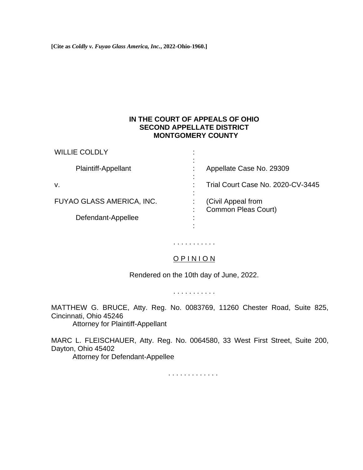**[Cite as** *Coldly v. Fuyao Glass America, Inc.***, 2022-Ohio-1960.]**

WILLIE COLDLY

## **IN THE COURT OF APPEALS OF OHIO SECOND APPELLATE DISTRICT MONTGOMERY COUNTY**

| <b>WILLIE COLDLY</b>       |                                           |
|----------------------------|-------------------------------------------|
| <b>Plaintiff-Appellant</b> | Appellate Case No. 29309                  |
| v.                         | ٠<br>Trial Court Case No. 2020-CV-3445    |
| FUYAO GLASS AMERICA, INC.  | (Civil Appeal from<br>Common Pleas Court) |
| Defendant-Appellee         |                                           |
|                            |                                           |

# O P I N I O N

. . . . . . . . . . .

Rendered on the 10th day of June, 2022.

. . . . . . . . . . .

MATTHEW G. BRUCE, Atty. Reg. No. 0083769, 11260 Chester Road, Suite 825, Cincinnati, Ohio 45246

Attorney for Plaintiff-Appellant

MARC L. FLEISCHAUER, Atty. Reg. No. 0064580, 33 West First Street, Suite 200, Dayton, Ohio 45402 Attorney for Defendant-Appellee

. . . . . . . . . . . . .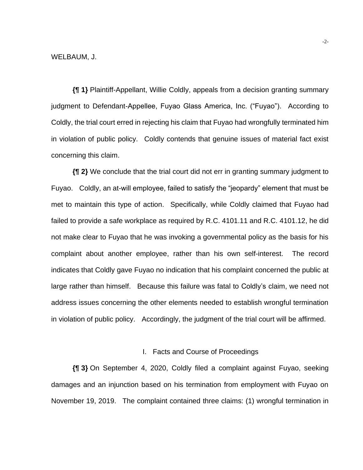**{¶ 1}** Plaintiff-Appellant, Willie Coldly, appeals from a decision granting summary judgment to Defendant-Appellee, Fuyao Glass America, Inc. ("Fuyao"). According to Coldly, the trial court erred in rejecting his claim that Fuyao had wrongfully terminated him in violation of public policy. Coldly contends that genuine issues of material fact exist concerning this claim.

**{¶ 2}** We conclude that the trial court did not err in granting summary judgment to Fuyao. Coldly, an at-will employee, failed to satisfy the "jeopardy" element that must be met to maintain this type of action. Specifically, while Coldly claimed that Fuyao had failed to provide a safe workplace as required by R.C. 4101.11 and R.C. 4101.12, he did not make clear to Fuyao that he was invoking a governmental policy as the basis for his complaint about another employee, rather than his own self-interest. The record indicates that Coldly gave Fuyao no indication that his complaint concerned the public at large rather than himself. Because this failure was fatal to Coldly's claim, we need not address issues concerning the other elements needed to establish wrongful termination in violation of public policy. Accordingly, the judgment of the trial court will be affirmed.

## I. Facts and Course of Proceedings

**{¶ 3}** On September 4, 2020, Coldly filed a complaint against Fuyao, seeking damages and an injunction based on his termination from employment with Fuyao on November 19, 2019. The complaint contained three claims: (1) wrongful termination in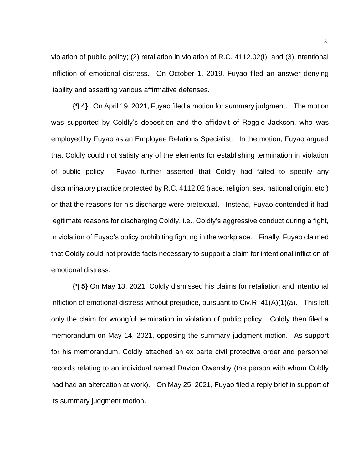violation of public policy; (2) retaliation in violation of R.C. 4112.02(I); and (3) intentional infliction of emotional distress. On October 1, 2019, Fuyao filed an answer denying liability and asserting various affirmative defenses.

**{¶ 4}** On April 19, 2021, Fuyao filed a motion for summary judgment. The motion was supported by Coldly's deposition and the affidavit of Reggie Jackson, who was employed by Fuyao as an Employee Relations Specialist. In the motion, Fuyao argued that Coldly could not satisfy any of the elements for establishing termination in violation of public policy. Fuyao further asserted that Coldly had failed to specify any discriminatory practice protected by R.C. 4112.02 (race, religion, sex, national origin, etc.) or that the reasons for his discharge were pretextual. Instead, Fuyao contended it had legitimate reasons for discharging Coldly, i.e., Coldly's aggressive conduct during a fight, in violation of Fuyao's policy prohibiting fighting in the workplace. Finally, Fuyao claimed that Coldly could not provide facts necessary to support a claim for intentional infliction of emotional distress.

**{¶ 5}** On May 13, 2021, Coldly dismissed his claims for retaliation and intentional infliction of emotional distress without prejudice, pursuant to Civ.R.  $41(A)(1)(a)$ . This left only the claim for wrongful termination in violation of public policy. Coldly then filed a memorandum on May 14, 2021, opposing the summary judgment motion. As support for his memorandum, Coldly attached an ex parte civil protective order and personnel records relating to an individual named Davion Owensby (the person with whom Coldly had had an altercation at work). On May 25, 2021, Fuyao filed a reply brief in support of its summary judgment motion.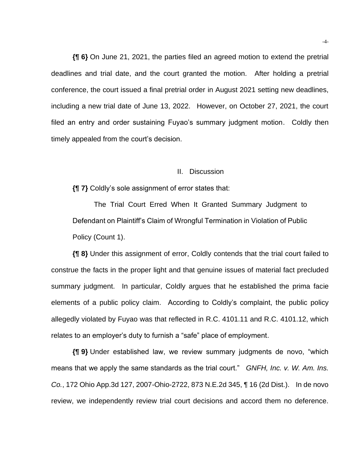**{¶ 6}** On June 21, 2021, the parties filed an agreed motion to extend the pretrial deadlines and trial date, and the court granted the motion. After holding a pretrial conference, the court issued a final pretrial order in August 2021 setting new deadlines, including a new trial date of June 13, 2022. However, on October 27, 2021, the court filed an entry and order sustaining Fuyao's summary judgment motion. Coldly then timely appealed from the court's decision.

#### II. Discussion

**{¶ 7}** Coldly's sole assignment of error states that:

The Trial Court Erred When It Granted Summary Judgment to Defendant on Plaintiff's Claim of Wrongful Termination in Violation of Public Policy (Count 1).

**{¶ 8}** Under this assignment of error, Coldly contends that the trial court failed to construe the facts in the proper light and that genuine issues of material fact precluded summary judgment. In particular, Coldly argues that he established the prima facie elements of a public policy claim. According to Coldly's complaint, the public policy allegedly violated by Fuyao was that reflected in R.C. 4101.11 and R.C. 4101.12, which relates to an employer's duty to furnish a "safe" place of employment.

**{¶ 9}** Under established law, we review summary judgments de novo, "which means that we apply the same standards as the trial court." *GNFH, Inc. v. W. Am. Ins. Co.*, 172 Ohio App.3d 127, 2007-Ohio-2722, 873 N.E.2d 345, ¶ 16 (2d Dist.). In de novo review, we independently review trial court decisions and accord them no deference.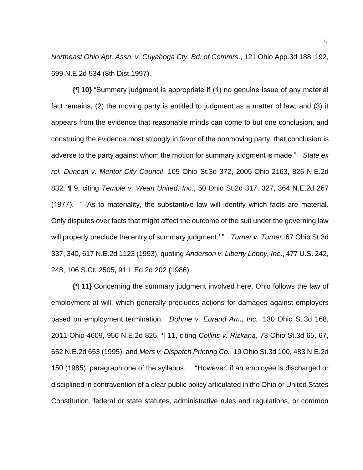*Northeast Ohio Apt. Assn. v. Cuyahoga Cty. Bd. of Commrs*., 121 Ohio App.3d 188, 192, 699 N.E.2d 534 (8th Dist.1997).

**{¶ 10}** "Summary judgment is appropriate if (1) no genuine issue of any material fact remains, (2) the moving party is entitled to judgment as a matter of law, and (3) it appears from the evidence that reasonable minds can come to but one conclusion, and construing the evidence most strongly in favor of the nonmoving party, that conclusion is adverse to the party against whom the motion for summary judgment is made." *State ex rel. Duncan v. Mentor City Council*, 105 Ohio St.3d 372, 2005-Ohio-2163, 826 N.E.2d 832, ¶ 9, citing *Temple v. Wean United, Inc*., 50 Ohio St.2d 317, 327, 364 N.E.2d 267 (1977). " 'As to materiality, the substantive law will identify which facts are material. Only disputes over facts that might affect the outcome of the suit under the governing law will properly preclude the entry of summary judgment.' " *Turner v. Turner*, 67 Ohio St.3d 337, 340, 617 N.E.2d 1123 (1993), quoting *Anderson v. Liberty Lobby, Inc*., 477 U.S. 242, 248, 106 S.Ct. 2505, 91 L.Ed.2d 202 (1986).

**{¶ 11}** Concerning the summary judgment involved here, Ohio follows the law of employment at will, which generally precludes actions for damages against employers based on employment termination. *Dohme v. Eurand Am., Inc.*, 130 Ohio St.3d 168, 2011-Ohio-4609, 956 N.E.2d 825, ¶ 11, citing *Collins v. Rizkana*, 73 Ohio St.3d 65, 67, 652 N.E.2d 653 (1995), and *Mers v. Dispatch Printing Co.*, 19 Ohio St.3d 100, 483 N.E.2d 150 (1985), paragraph one of the syllabus. "However, if an employee is discharged or disciplined in contravention of a clear public policy articulated in the Ohio or United States Constitution, federal or state statutes, administrative rules and regulations, or common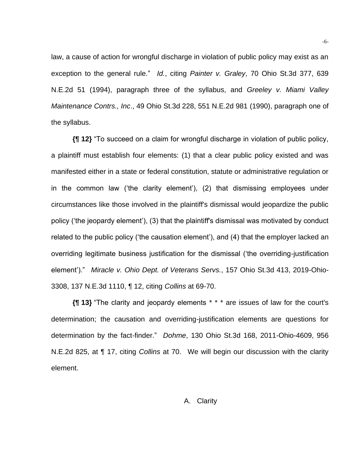law, a cause of action for wrongful discharge in violation of public policy may exist as an exception to the general rule." *Id.*, citing *Painter v. Graley*, 70 Ohio St.3d 377, 639 N.E.2d 51 (1994), paragraph three of the syllabus, and *Greeley v. Miami Valley Maintenance Contrs., Inc*., 49 Ohio St.3d 228, 551 N.E.2d 981 (1990), paragraph one of the syllabus.

**{¶ 12}** "To succeed on a claim for wrongful discharge in violation of public policy, a plaintiff must establish four elements: (1) that a clear public policy existed and was manifested either in a state or federal constitution, statute or administrative regulation or in the common law ('the clarity element'), (2) that dismissing employees under circumstances like those involved in the plaintiff's dismissal would jeopardize the public policy ('the jeopardy element'), (3) that the plaintiff's dismissal was motivated by conduct related to the public policy ('the causation element'), and (4) that the employer lacked an overriding legitimate business justification for the dismissal ('the overriding-justification element')." *Miracle v. Ohio Dept. of Veterans Servs.*, 157 Ohio St.3d 413, 2019-Ohio-3308, 137 N.E.3d 1110, ¶ 12, citing *Collins* at 69-70.

**{¶ 13}** "The clarity and jeopardy elements \* \* \* are issues of law for the court's determination; the causation and overriding-justification elements are questions for determination by the fact-finder." *Dohme*, 130 Ohio St.3d 168, 2011-Ohio-4609, 956 N.E.2d 825, at ¶ 17, citing *Collins* at 70. We will begin our discussion with the clarity element.

## A. Clarity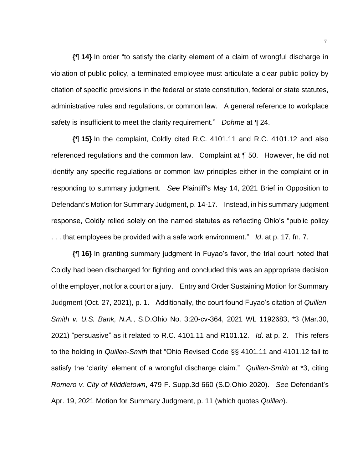**{¶ 14}** In order "to satisfy the clarity element of a claim of wrongful discharge in violation of public policy, a terminated employee must articulate a clear public policy by citation of specific provisions in the federal or state constitution, federal or state statutes, administrative rules and regulations, or common law. A general reference to workplace safety is insufficient to meet the clarity requirement." *Dohme* at ¶ 24.

**{¶ 15}** In the complaint, Coldly cited R.C. 4101.11 and R.C. 4101.12 and also referenced regulations and the common law. Complaint at ¶ 50. However, he did not identify any specific regulations or common law principles either in the complaint or in responding to summary judgment. *See* Plaintiff's May 14, 2021 Brief in Opposition to Defendant's Motion for Summary Judgment, p. 14-17. Instead, in his summary judgment response, Coldly relied solely on the named statutes as reflecting Ohio's "public policy . . . that employees be provided with a safe work environment." *Id*. at p. 17, fn. 7.

**{¶ 16}** In granting summary judgment in Fuyao's favor, the trial court noted that Coldly had been discharged for fighting and concluded this was an appropriate decision of the employer, not for a court or a jury. Entry and Order Sustaining Motion for Summary Judgment (Oct. 27, 2021), p. 1. Additionally, the court found Fuyao's citation of *Quillen-Smith v. U.S. Bank, N.A.*, S.D.Ohio No. 3:20-cv-364, 2021 WL 1192683, \*3 (Mar.30, 2021) "persuasive" as it related to R.C. 4101.11 and R101.12. *Id*. at p. 2. This refers to the holding in *Quillen-Smith* that "Ohio Revised Code §§ 4101.11 and 4101.12 fail to satisfy the 'clarity' element of a wrongful discharge claim." *Quillen-Smith* at \*3, citing *Romero v. City of Middletown*, 479 F. Supp.3d 660 (S.D.Ohio 2020). *See* Defendant's Apr. 19, 2021 Motion for Summary Judgment, p. 11 (which quotes *Quillen*).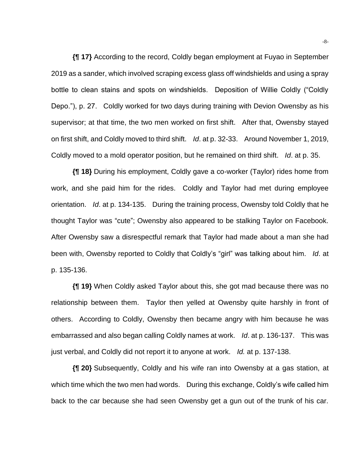**{¶ 17}** According to the record, Coldly began employment at Fuyao in September 2019 as a sander, which involved scraping excess glass off windshields and using a spray bottle to clean stains and spots on windshields. Deposition of Willie Coldly ("Coldly Depo."), p. 27. Coldly worked for two days during training with Devion Owensby as his supervisor; at that time, the two men worked on first shift. After that, Owensby stayed on first shift, and Coldly moved to third shift. *Id*. at p. 32-33. Around November 1, 2019, Coldly moved to a mold operator position, but he remained on third shift. *Id*. at p. 35.

**{¶ 18}** During his employment, Coldly gave a co-worker (Taylor) rides home from work, and she paid him for the rides. Coldly and Taylor had met during employee orientation. *Id*. at p. 134-135. During the training process, Owensby told Coldly that he thought Taylor was "cute"; Owensby also appeared to be stalking Taylor on Facebook. After Owensby saw a disrespectful remark that Taylor had made about a man she had been with, Owensby reported to Coldly that Coldly's "girl" was talking about him. *Id*. at p. 135-136.

**{¶ 19}** When Coldly asked Taylor about this, she got mad because there was no relationship between them. Taylor then yelled at Owensby quite harshly in front of others. According to Coldly, Owensby then became angry with him because he was embarrassed and also began calling Coldly names at work. *Id*. at p. 136-137. This was just verbal, and Coldly did not report it to anyone at work. *Id.* at p. 137-138.

**{¶ 20}** Subsequently, Coldly and his wife ran into Owensby at a gas station, at which time which the two men had words. During this exchange, Coldly's wife called him back to the car because she had seen Owensby get a gun out of the trunk of his car.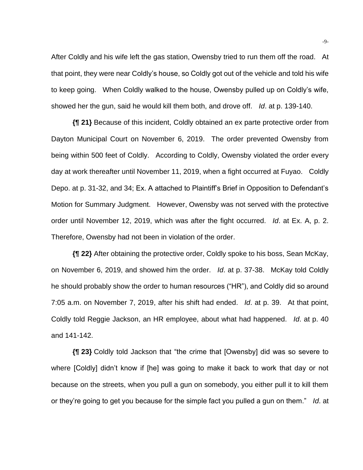After Coldly and his wife left the gas station, Owensby tried to run them off the road. At that point, they were near Coldly's house, so Coldly got out of the vehicle and told his wife to keep going. When Coldly walked to the house, Owensby pulled up on Coldly's wife, showed her the gun, said he would kill them both, and drove off. *Id*. at p. 139-140.

**{¶ 21}** Because of this incident, Coldly obtained an ex parte protective order from Dayton Municipal Court on November 6, 2019. The order prevented Owensby from being within 500 feet of Coldly. According to Coldly, Owensby violated the order every day at work thereafter until November 11, 2019, when a fight occurred at Fuyao. Coldly Depo. at p. 31-32, and 34; Ex. A attached to Plaintiff's Brief in Opposition to Defendant's Motion for Summary Judgment. However, Owensby was not served with the protective order until November 12, 2019, which was after the fight occurred. *Id*. at Ex. A, p. 2. Therefore, Owensby had not been in violation of the order.

**{¶ 22}** After obtaining the protective order, Coldly spoke to his boss, Sean McKay, on November 6, 2019, and showed him the order. *Id*. at p. 37-38. McKay told Coldly he should probably show the order to human resources ("HR"), and Coldly did so around 7:05 a.m. on November 7, 2019, after his shift had ended. *Id*. at p. 39. At that point, Coldly told Reggie Jackson, an HR employee, about what had happened. *Id*. at p. 40 and 141-142.

**{¶ 23}** Coldly told Jackson that "the crime that [Owensby] did was so severe to where [Coldly] didn't know if [he] was going to make it back to work that day or not because on the streets, when you pull a gun on somebody, you either pull it to kill them or they're going to get you because for the simple fact you pulled a gun on them." *Id*. at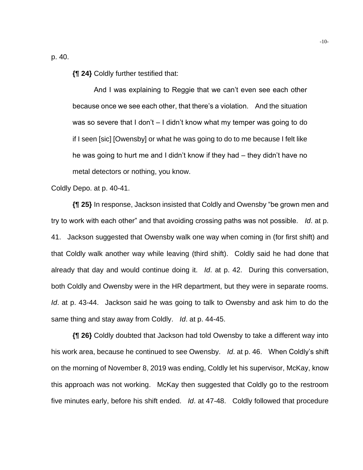p. 40.

**{¶ 24}** Coldly further testified that:

And I was explaining to Reggie that we can't even see each other because once we see each other, that there's a violation. And the situation was so severe that I don't  $-1$  didn't know what my temper was going to do if I seen [sic] [Owensby] or what he was going to do to me because I felt like he was going to hurt me and I didn't know if they had – they didn't have no metal detectors or nothing, you know.

Coldly Depo. at p. 40-41.

**{¶ 25}** In response, Jackson insisted that Coldly and Owensby "be grown men and try to work with each other" and that avoiding crossing paths was not possible. *Id*. at p. 41. Jackson suggested that Owensby walk one way when coming in (for first shift) and that Coldly walk another way while leaving (third shift). Coldly said he had done that already that day and would continue doing it. *Id*. at p. 42. During this conversation, both Coldly and Owensby were in the HR department, but they were in separate rooms. *Id*. at p. 43-44. Jackson said he was going to talk to Owensby and ask him to do the same thing and stay away from Coldly. *Id*. at p. 44-45.

**{¶ 26}** Coldly doubted that Jackson had told Owensby to take a different way into his work area, because he continued to see Owensby. *Id*. at p. 46. When Coldly's shift on the morning of November 8, 2019 was ending, Coldly let his supervisor, McKay, know this approach was not working. McKay then suggested that Coldly go to the restroom five minutes early, before his shift ended. *Id*. at 47-48. Coldly followed that procedure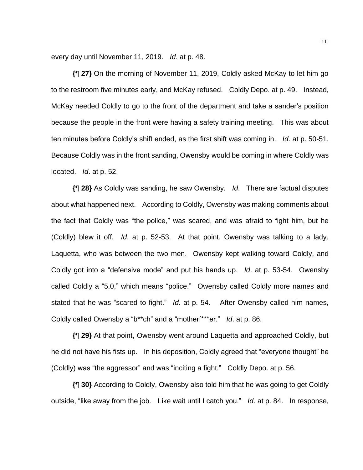every day until November 11, 2019. *Id*. at p. 48.

**{¶ 27}** On the morning of November 11, 2019, Coldly asked McKay to let him go to the restroom five minutes early, and McKay refused. Coldly Depo. at p. 49. Instead, McKay needed Coldly to go to the front of the department and take a sander's position because the people in the front were having a safety training meeting. This was about ten minutes before Coldly's shift ended, as the first shift was coming in. *Id*. at p. 50-51. Because Coldly was in the front sanding, Owensby would be coming in where Coldly was located. *Id*. at p. 52.

**{¶ 28}** As Coldly was sanding, he saw Owensby. *Id*. There are factual disputes about what happened next. According to Coldly, Owensby was making comments about the fact that Coldly was "the police," was scared, and was afraid to fight him, but he (Coldly) blew it off. *Id*. at p. 52-53. At that point, Owensby was talking to a lady, Laquetta, who was between the two men. Owensby kept walking toward Coldly, and Coldly got into a "defensive mode" and put his hands up. *Id*. at p. 53-54. Owensby called Coldly a "5.0," which means "police." Owensby called Coldly more names and stated that he was "scared to fight." *Id*. at p. 54. After Owensby called him names, Coldly called Owensby a "b\*\*ch" and a "motherf\*\*\*er." *Id*. at p. 86.

**{¶ 29}** At that point, Owensby went around Laquetta and approached Coldly, but he did not have his fists up. In his deposition, Coldly agreed that "everyone thought" he (Coldly) was "the aggressor" and was "inciting a fight." Coldly Depo. at p. 56.

**{¶ 30}** According to Coldly, Owensby also told him that he was going to get Coldly outside, "like away from the job. Like wait until I catch you." *Id*. at p. 84. In response,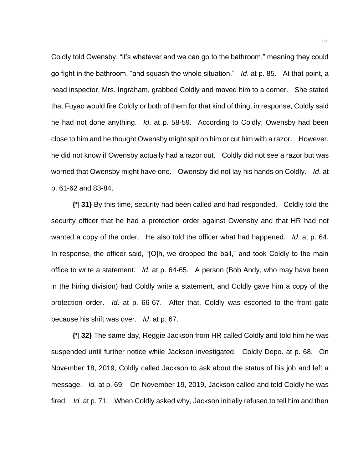Coldly told Owensby, "it's whatever and we can go to the bathroom," meaning they could go fight in the bathroom, "and squash the whole situation." *Id*. at p. 85. At that point, a head inspector, Mrs. Ingraham, grabbed Coldly and moved him to a corner. She stated that Fuyao would fire Coldly or both of them for that kind of thing; in response, Coldly said he had not done anything. *Id*. at p. 58-59. According to Coldly, Owensby had been close to him and he thought Owensby might spit on him or cut him with a razor. However, he did not know if Owensby actually had a razor out. Coldly did not see a razor but was worried that Owensby might have one. Owensby did not lay his hands on Coldly. *Id*. at p. 61-62 and 83-84.

**{¶ 31}** By this time, security had been called and had responded. Coldly told the security officer that he had a protection order against Owensby and that HR had not wanted a copy of the order. He also told the officer what had happened. *Id*. at p. 64. In response, the officer said, "[O]h, we dropped the ball," and took Coldly to the main office to write a statement. *Id*. at p. 64-65. A person (Bob Andy, who may have been in the hiring division) had Coldly write a statement, and Coldly gave him a copy of the protection order. *Id*. at p. 66-67. After that, Coldly was escorted to the front gate because his shift was over. *Id*. at p. 67.

**{¶ 32}** The same day, Reggie Jackson from HR called Coldly and told him he was suspended until further notice while Jackson investigated. Coldly Depo. at p. 68. On November 18, 2019, Coldly called Jackson to ask about the status of his job and left a message. *Id.* at p. 69. On November 19, 2019, Jackson called and told Coldly he was fired. *Id.* at p. 71. When Coldly asked why, Jackson initially refused to tell him and then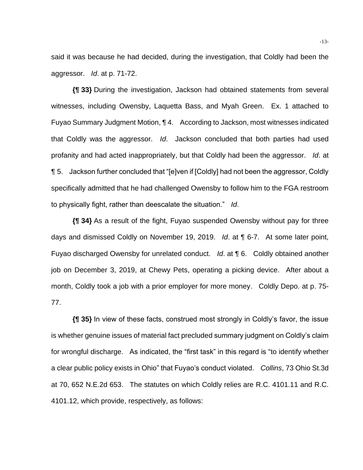said it was because he had decided, during the investigation, that Coldly had been the aggressor. *Id*. at p. 71-72.

**{¶ 33}** During the investigation, Jackson had obtained statements from several witnesses, including Owensby, Laquetta Bass, and Myah Green. Ex. 1 attached to Fuyao Summary Judgment Motion, ¶ 4. According to Jackson, most witnesses indicated that Coldly was the aggressor. *Id*. Jackson concluded that both parties had used profanity and had acted inappropriately, but that Coldly had been the aggressor. *Id*. at ¶ 5. Jackson further concluded that "[e]ven if [Coldly] had not been the aggressor, Coldly specifically admitted that he had challenged Owensby to follow him to the FGA restroom to physically fight, rather than deescalate the situation." *Id*.

**{¶ 34}** As a result of the fight, Fuyao suspended Owensby without pay for three days and dismissed Coldly on November 19, 2019. *Id*. at ¶ 6-7. At some later point, Fuyao discharged Owensby for unrelated conduct. *Id*. at ¶ 6. Coldly obtained another job on December 3, 2019, at Chewy Pets, operating a picking device. After about a month, Coldly took a job with a prior employer for more money. Coldly Depo. at p. 75- 77.

**{¶ 35}** In view of these facts, construed most strongly in Coldly's favor, the issue is whether genuine issues of material fact precluded summary judgment on Coldly's claim for wrongful discharge. As indicated, the "first task" in this regard is "to identify whether a clear public policy exists in Ohio" that Fuyao's conduct violated. *Collins*, 73 Ohio St.3d at 70, 652 N.E.2d 653. The statutes on which Coldly relies are R.C. 4101.11 and R.C. 4101.12, which provide, respectively, as follows: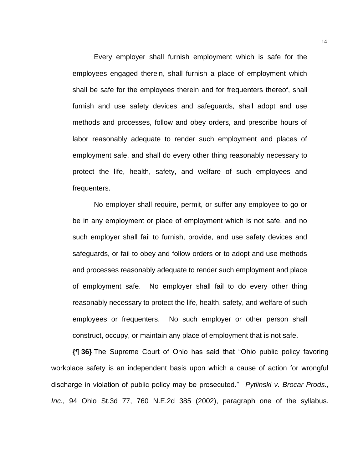Every employer shall furnish employment which is safe for the employees engaged therein, shall furnish a place of employment which shall be safe for the employees therein and for frequenters thereof, shall furnish and use safety devices and safeguards, shall adopt and use methods and processes, follow and obey orders, and prescribe hours of labor reasonably adequate to render such employment and places of employment safe, and shall do every other thing reasonably necessary to protect the life, health, safety, and welfare of such employees and frequenters.

No employer shall require, permit, or suffer any employee to go or be in any employment or place of employment which is not safe, and no such employer shall fail to furnish, provide, and use safety devices and safeguards, or fail to obey and follow orders or to adopt and use methods and processes reasonably adequate to render such employment and place of employment safe. No employer shall fail to do every other thing reasonably necessary to protect the life, health, safety, and welfare of such employees or frequenters. No such employer or other person shall construct, occupy, or maintain any place of employment that is not safe.

**{¶ 36}** The Supreme Court of Ohio has said that "Ohio public policy favoring workplace safety is an independent basis upon which a cause of action for wrongful discharge in violation of public policy may be prosecuted." *Pytlinski v. Brocar Prods., Inc.*, 94 Ohio St.3d 77, 760 N.E.2d 385 (2002), paragraph one of the syllabus.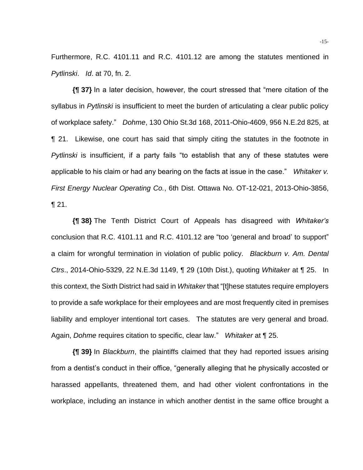Furthermore, R.C. 4101.11 and R.C. 4101.12 are among the statutes mentioned in *Pytlinski*. *Id*. at 70, fn. 2.

**{¶ 37}** In a later decision, however, the court stressed that "mere citation of the syllabus in *Pytlinski* is insufficient to meet the burden of articulating a clear public policy of workplace safety." *Dohme*, 130 Ohio St.3d 168, 2011-Ohio-4609, 956 N.E.2d 825, at ¶ 21. Likewise, one court has said that simply citing the statutes in the footnote in *Pytlinski* is insufficient, if a party fails "to establish that any of these statutes were applicable to his claim or had any bearing on the facts at issue in the case." *Whitaker v. First Energy Nuclear Operating Co.*, 6th Dist. Ottawa No. OT-12-021, 2013-Ohio-3856, ¶ 21.

**{¶ 38}** The Tenth District Court of Appeals has disagreed with *Whitaker's* conclusion that R.C. 4101.11 and R.C. 4101.12 are "too 'general and broad' to support" a claim for wrongful termination in violation of public policy. *Blackburn v. Am. Dental Ctrs*., 2014-Ohio-5329, 22 N.E.3d 1149, ¶ 29 (10th Dist.), quoting *Whitaker* at ¶ 25. In this context, the Sixth District had said in *Whitaker* that "[t]hese statutes require employers to provide a safe workplace for their employees and are most frequently cited in premises liability and employer intentional tort cases. The statutes are very general and broad. Again, *Dohme* requires citation to specific, clear law." *Whitaker* at ¶ 25.

**{¶ 39}** In *Blackburn*, the plaintiffs claimed that they had reported issues arising from a dentist's conduct in their office, "generally alleging that he physically accosted or harassed appellants, threatened them, and had other violent confrontations in the workplace, including an instance in which another dentist in the same office brought a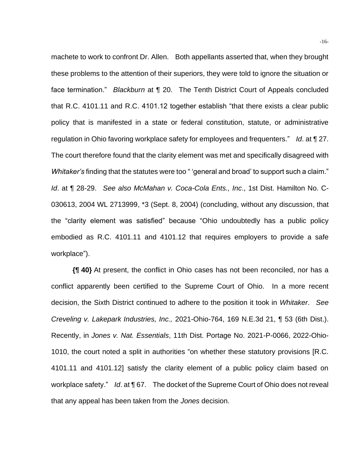machete to work to confront Dr. Allen. Both appellants asserted that, when they brought these problems to the attention of their superiors, they were told to ignore the situation or face termination." *Blackburn* at ¶ 20. The Tenth District Court of Appeals concluded that R.C. 4101.11 and R.C. 4101.12 together establish "that there exists a clear public policy that is manifested in a state or federal constitution, statute, or administrative regulation in Ohio favoring workplace safety for employees and frequenters." *Id*. at ¶ 27. The court therefore found that the clarity element was met and specifically disagreed with *Whitaker's* finding that the statutes were too " 'general and broad' to support such a claim." *Id*. at ¶ 28-29. *See also McMahan v. Coca-Cola Ents., Inc*., 1st Dist. Hamilton No. C-030613, 2004 WL 2713999, \*3 (Sept. 8, 2004) (concluding, without any discussion, that the "clarity element was satisfied" because "Ohio undoubtedly has a public policy embodied as R.C. 4101.11 and 4101.12 that requires employers to provide a safe workplace").

**{¶ 40}** At present, the conflict in Ohio cases has not been reconciled, nor has a conflict apparently been certified to the Supreme Court of Ohio. In a more recent decision, the Sixth District continued to adhere to the position it took in *Whitaker*. *See Creveling v. Lakepark Industries, Inc.,* 2021-Ohio-764, 169 N.E.3d 21, ¶ 53 (6th Dist.). Recently, in *Jones v. Nat. Essentials*, 11th Dist. Portage No. 2021-P-0066, 2022-Ohio-1010, the court noted a split in authorities "on whether these statutory provisions [R.C. 4101.11 and 4101.12] satisfy the clarity element of a public policy claim based on workplace safety." *Id*. at ¶ 67. The docket of the Supreme Court of Ohio does not reveal that any appeal has been taken from the *Jones* decision.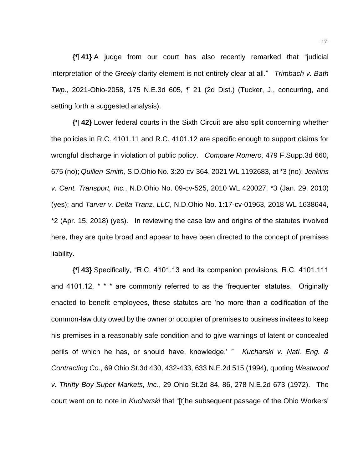**{¶ 41}** A judge from our court has also recently remarked that "judicial interpretation of the *Greely* clarity element is not entirely clear at all." *Trimbach v. Bath Twp.*, 2021-Ohio-2058, 175 N.E.3d 605, ¶ 21 (2d Dist.) (Tucker, J., concurring, and setting forth a suggested analysis).

**{¶ 42}** Lower federal courts in the Sixth Circuit are also split concerning whether the policies in R.C. 4101.11 and R.C. 4101.12 are specific enough to support claims for wrongful discharge in violation of public policy. *Compare Romero,* 479 F.Supp.3d 660, 675 (no); *Quillen-Smith,* S.D.Ohio No. 3:20-cv-364, 2021 WL 1192683, at \*3 (no); *Jenkins v. Cent. Transport, Inc.*, N.D.Ohio No. 09-cv-525, 2010 WL 420027, \*3 (Jan. 29, 2010) (yes); and *Tarver v. Delta Tranz, LLC*, N.D.Ohio No. 1:17-cv-01963, 2018 WL 1638644, \*2 (Apr. 15, 2018) (yes). In reviewing the case law and origins of the statutes involved here, they are quite broad and appear to have been directed to the concept of premises liability.

**{¶ 43}** Specifically, "R.C. 4101.13 and its companion provisions, R.C. 4101.111 and 4101.12, \* \* \* are commonly referred to as the 'frequenter' statutes. Originally enacted to benefit employees, these statutes are 'no more than a codification of the common-law duty owed by the owner or occupier of premises to business invitees to keep his premises in a reasonably safe condition and to give warnings of latent or concealed perils of which he has, or should have, knowledge.' " *Kucharski v. Natl. Eng. & Contracting Co*., 69 Ohio St.3d 430, 432-433, 633 N.E.2d 515 (1994), quoting *Westwood v. Thrifty Boy Super Markets, Inc*., 29 Ohio St.2d 84, 86, 278 N.E.2d 673 (1972). The court went on to note in *Kucharski* that "[t]he subsequent passage of the Ohio Workers'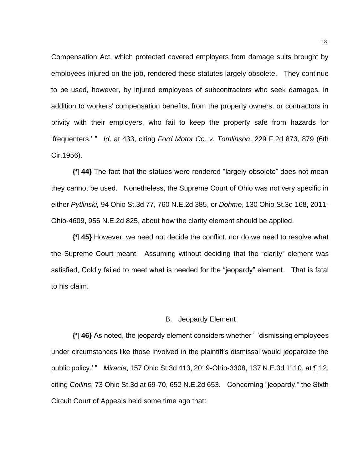Compensation Act, which protected covered employers from damage suits brought by employees injured on the job, rendered these statutes largely obsolete. They continue to be used, however, by injured employees of subcontractors who seek damages, in addition to workers' compensation benefits, from the property owners, or contractors in privity with their employers, who fail to keep the property safe from hazards for 'frequenters.' " *Id*. at 433, citing *Ford Motor Co. v. Tomlinson*, 229 F.2d 873, 879 (6th Cir.1956).

**{¶ 44}** The fact that the statues were rendered "largely obsolete" does not mean they cannot be used. Nonetheless, the Supreme Court of Ohio was not very specific in either *Pytlinski,* 94 Ohio St.3d 77, 760 N.E.2d 385, or *Dohme*, 130 Ohio St.3d 168, 2011- Ohio-4609, 956 N.E.2d 825, about how the clarity element should be applied.

**{¶ 45}** However, we need not decide the conflict, nor do we need to resolve what the Supreme Court meant. Assuming without deciding that the "clarity" element was satisfied, Coldly failed to meet what is needed for the "jeopardy" element. That is fatal to his claim.

#### B. Jeopardy Element

**{¶ 46}** As noted, the jeopardy element considers whether " 'dismissing employees under circumstances like those involved in the plaintiff's dismissal would jeopardize the public policy.' " *Miracle*, 157 Ohio St.3d 413, 2019-Ohio-3308, 137 N.E.3d 1110, at ¶ 12, citing *Collins*, 73 Ohio St.3d at 69-70, 652 N.E.2d 653. Concerning "jeopardy," the Sixth Circuit Court of Appeals held some time ago that: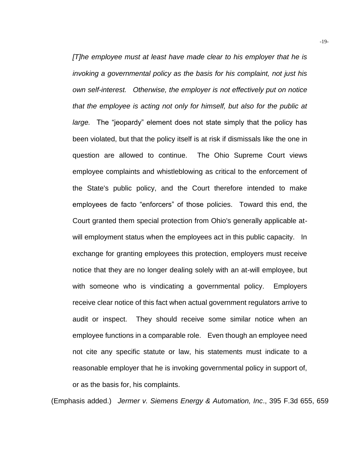*[T]he employee must at least have made clear to his employer that he is invoking a governmental policy as the basis for his complaint, not just his own self-interest. Otherwise, the employer is not effectively put on notice that the employee is acting not only for himself, but also for the public at large.* The "jeopardy" element does not state simply that the policy has been violated, but that the policy itself is at risk if dismissals like the one in question are allowed to continue. The Ohio Supreme Court views employee complaints and whistleblowing as critical to the enforcement of the State's public policy, and the Court therefore intended to make employees de facto "enforcers" of those policies. Toward this end, the Court granted them special protection from Ohio's generally applicable atwill employment status when the employees act in this public capacity. In exchange for granting employees this protection, employers must receive notice that they are no longer dealing solely with an at-will employee, but with someone who is vindicating a governmental policy. Employers receive clear notice of this fact when actual government regulators arrive to audit or inspect. They should receive some similar notice when an employee functions in a comparable role. Even though an employee need not cite any specific statute or law, his statements must indicate to a reasonable employer that he is invoking governmental policy in support of, or as the basis for, his complaints.

(Emphasis added.) *Jermer v. Siemens Energy & Automation, Inc*., 395 F.3d 655, 659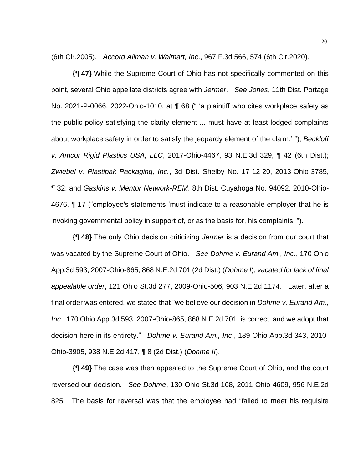(6th Cir.2005). *Accord Allman v. Walmart, Inc*., 967 F.3d 566, 574 (6th Cir.2020).

**{¶ 47}** While the Supreme Court of Ohio has not specifically commented on this point, several Ohio appellate districts agree with *Jermer*. *See Jones*, 11th Dist. Portage No. 2021-P-0066, 2022-Ohio-1010, at ¶ 68 (" 'a plaintiff who cites workplace safety as the public policy satisfying the clarity element ... must have at least lodged complaints about workplace safety in order to satisfy the jeopardy element of the claim.' "); *Beckloff v. Amcor Rigid Plastics USA, LLC*, 2017-Ohio-4467, 93 N.E.3d 329, ¶ 42 (6th Dist.); *Zwiebel v. Plastipak Packaging, Inc.*, 3d Dist. Shelby No. 17-12-20, 2013-Ohio-3785, ¶ 32; and *Gaskins v. Mentor Network-REM*, 8th Dist. Cuyahoga No. 94092, 2010-Ohio-4676, ¶ 17 ("employee's statements 'must indicate to a reasonable employer that he is invoking governmental policy in support of, or as the basis for, his complaints' ").

**{¶ 48}** The only Ohio decision criticizing *Jermer* is a decision from our court that was vacated by the Supreme Court of Ohio. *See Dohme v. Eurand Am., Inc*., 170 Ohio App.3d 593, 2007-Ohio-865, 868 N.E.2d 701 (2d Dist.) (*Dohme I*), *vacated for lack of final appealable order*, 121 Ohio St.3d 277, 2009-Ohio-506, 903 N.E.2d 1174. Later, after a final order was entered, we stated that "we believe our decision in *Dohme v. Eurand Am., Inc*., 170 Ohio App.3d 593, 2007-Ohio-865, 868 N.E.2d 701, is correct, and we adopt that decision here in its entirety." *Dohme v. Eurand Am., Inc*., 189 Ohio App.3d 343, 2010- Ohio-3905, 938 N.E.2d 417, ¶ 8 (2d Dist.) (*Dohme II*).

**{¶ 49}** The case was then appealed to the Supreme Court of Ohio, and the court reversed our decision. *See Dohme*, 130 Ohio St.3d 168, 2011-Ohio-4609, 956 N.E.2d 825. The basis for reversal was that the employee had "failed to meet his requisite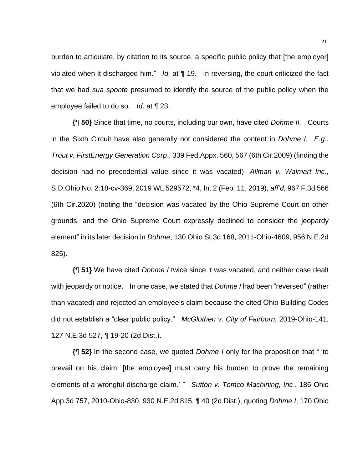burden to articulate, by citation to its source, a specific public policy that [the employer] violated when it discharged him." *Id.* at ¶ 19. In reversing, the court criticized the fact that we had *sua sponte* presumed to identify the source of the public policy when the employee failed to do so. *Id*. at ¶ 23.

**{¶ 50}** Since that time, no courts, including our own, have cited *Dohme II.* Courts in the Sixth Circuit have also generally not considered the content in *Dohme I*. *E.g*., *Trout v. FirstEnergy Generation Corp*., 339 Fed.Appx. 560, 567 (6th Cir.2009) (finding the decision had no precedential value since it was vacated); *Allman v. Walmart Inc*., S.D.Ohio No. 2:18-cv-369, 2019 WL 529572, \*4, fn. 2 (Feb. 11, 2019), *aff'd,* 967 F.3d 566 (6th Cir.2020) (noting the "decision was vacated by the Ohio Supreme Court on other grounds, and the Ohio Supreme Court expressly declined to consider the jeopardy element" in its later decision in *Dohme*, 130 Ohio St.3d 168, 2011-Ohio-4609, 956 N.E.2d 825).

**{¶ 51}** We have cited *Dohme I* twice since it was vacated, and neither case dealt with jeopardy or notice. In one case, we stated that *Dohme I* had been "reversed" (rather than vacated) and rejected an employee's claim because the cited Ohio Building Codes did not establish a "clear public policy." *McGlothen v. City of Fairborn,* 2019-Ohio-141, 127 N.E.3d 527, ¶ 19-20 (2d Dist.).

**{¶ 52}** In the second case, we quoted *Dohme I* only for the proposition that " 'to prevail on his claim, [the employee] must carry his burden to prove the remaining elements of a wrongful-discharge claim.' " *Sutton v. Tomco Machining, Inc*., 186 Ohio App.3d 757, 2010-Ohio-830, 930 N.E.2d 815, ¶ 40 (2d Dist.), quoting *Dohme I*, 170 Ohio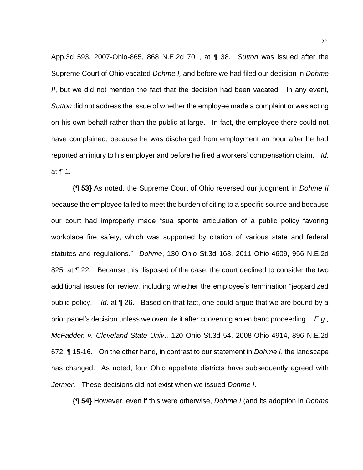App.3d 593, 2007-Ohio-865, 868 N.E.2d 701, at ¶ 38. *Sutton* was issued after the Supreme Court of Ohio vacated *Dohme I,* and before we had filed our decision in *Dohme II*, but we did not mention the fact that the decision had been vacated. In any event, *Sutton* did not address the issue of whether the employee made a complaint or was acting on his own behalf rather than the public at large. In fact, the employee there could not have complained, because he was discharged from employment an hour after he had reported an injury to his employer and before he filed a workers' compensation claim. *Id*. at ¶ 1.

**{¶ 53}** As noted, the Supreme Court of Ohio reversed our judgment in *Dohme II* because the employee failed to meet the burden of citing to a specific source and because our court had improperly made "sua sponte articulation of a public policy favoring workplace fire safety, which was supported by citation of various state and federal statutes and regulations." *Dohme*, 130 Ohio St.3d 168, 2011-Ohio-4609, 956 N.E.2d 825, at  $\P$  22. Because this disposed of the case, the court declined to consider the two additional issues for review, including whether the employee's termination "jeopardized public policy." *Id*. at ¶ 26. Based on that fact, one could argue that we are bound by a prior panel's decision unless we overrule it after convening an en banc proceeding. *E.g., McFadden v. Cleveland State Univ*., 120 Ohio St.3d 54, 2008-Ohio-4914, 896 N.E.2d 672, ¶ 15-16. On the other hand, in contrast to our statement in *Dohme I*, the landscape has changed. As noted, four Ohio appellate districts have subsequently agreed with *Jermer*. These decisions did not exist when we issued *Dohme I*.

**{¶ 54}** However, even if this were otherwise, *Dohme I* (and its adoption in *Dohme*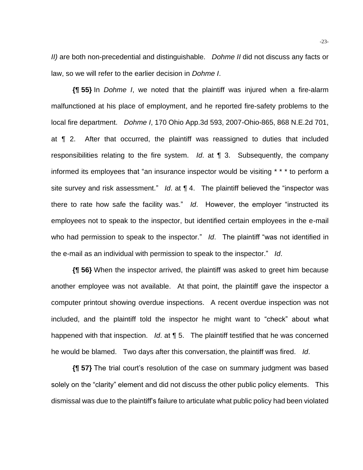*II)* are both non-precedential and distinguishable. *Dohme II* did not discuss any facts or law, so we will refer to the earlier decision in *Dohme I*.

**{¶ 55}** In *Dohme I*, we noted that the plaintiff was injured when a fire-alarm malfunctioned at his place of employment, and he reported fire-safety problems to the local fire department. *Dohme I*, 170 Ohio App.3d 593, 2007-Ohio-865, 868 N.E.2d 701, at ¶ 2. After that occurred, the plaintiff was reassigned to duties that included responsibilities relating to the fire system. *Id*. at ¶ 3. Subsequently, the company informed its employees that "an insurance inspector would be visiting \* \* \* to perform a site survey and risk assessment." *Id.* at **[4.** The plaintiff believed the "inspector was there to rate how safe the facility was." *Id*. However, the employer "instructed its employees not to speak to the inspector, but identified certain employees in the e-mail who had permission to speak to the inspector." *Id*. The plaintiff "was not identified in the e-mail as an individual with permission to speak to the inspector." *Id*.

**{¶ 56}** When the inspector arrived, the plaintiff was asked to greet him because another employee was not available. At that point, the plaintiff gave the inspector a computer printout showing overdue inspections. A recent overdue inspection was not included, and the plaintiff told the inspector he might want to "check" about what happened with that inspection. *Id*. at ¶ 5. The plaintiff testified that he was concerned he would be blamed. Two days after this conversation, the plaintiff was fired. *Id*.

**{¶ 57}** The trial court's resolution of the case on summary judgment was based solely on the "clarity" element and did not discuss the other public policy elements. This dismissal was due to the plaintiff's failure to articulate what public policy had been violated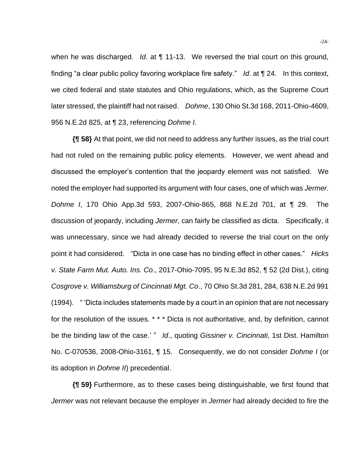when he was discharged. *Id.* at **[11-13.** We reversed the trial court on this ground, finding "a clear public policy favoring workplace fire safety." *Id*. at ¶ 24. In this context, we cited federal and state statutes and Ohio regulations, which, as the Supreme Court later stressed, the plaintiff had not raised. *Dohme*, 130 Ohio St.3d 168, 2011-Ohio-4609, 956 N.E.2d 825, at ¶ 23, referencing *Dohme I*.

**{¶ 58}** At that point, we did not need to address any further issues, as the trial court had not ruled on the remaining public policy elements. However, we went ahead and discussed the employer's contention that the jeopardy element was not satisfied. We noted the employer had supported its argument with four cases, one of which was *Jermer*. *Dohme I*, 170 Ohio App.3d 593, 2007-Ohio-865, 868 N.E.2d 701, at ¶ 29. The discussion of jeopardy, including *Jermer*, can fairly be classified as dicta. Specifically, it was unnecessary, since we had already decided to reverse the trial court on the only point it had considered. "Dicta in one case has no binding effect in other cases." *Hicks v. State Farm Mut. Auto. Ins. Co*., 2017-Ohio-7095, 95 N.E.3d 852, ¶ 52 (2d Dist.), citing *Cosgrove v. Williamsburg of Cincinnati Mgt. Co*., 70 Ohio St.3d 281, 284, 638 N.E.2d 991 (1994). " 'Dicta includes statements made by a court in an opinion that are not necessary for the resolution of the issues. \* \* \* Dicta is not authoritative, and, by definition, cannot be the binding law of the case.' " *Id*., quoting *Gissiner v. Cincinnati*, 1st Dist. Hamilton No. C-070536, 2008-Ohio-3161, ¶ 15. Consequently, we do not consider *Dohme I* (or its adoption in *Dohme II*) precedential.

**{¶ 59}** Furthermore, as to these cases being distinguishable, we first found that *Jermer* was not relevant because the employer in *Jermer* had already decided to fire the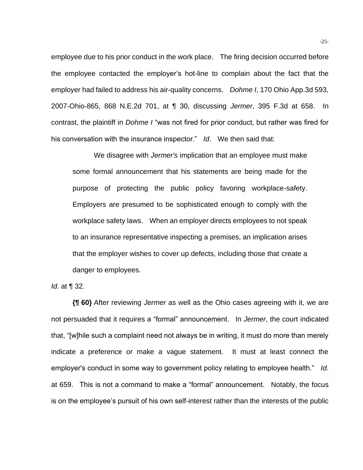employee due to his prior conduct in the work place. The firing decision occurred before the employee contacted the employer's hot-line to complain about the fact that the employer had failed to address his air-quality concerns. *Dohme I*, 170 Ohio App.3d 593, 2007-Ohio-865, 868 N.E.2d 701, at ¶ 30, discussing *Jermer*, 395 F.3d at 658. In contrast, the plaintiff in *Dohme I* "was not fired for prior conduct, but rather was fired for his conversation with the insurance inspector." *Id*. We then said that:

We disagree with *Jermer's* implication that an employee must make some formal announcement that his statements are being made for the purpose of protecting the public policy favoring workplace-safety. Employers are presumed to be sophisticated enough to comply with the workplace safety laws. When an employer directs employees to not speak to an insurance representative inspecting a premises, an implication arises that the employer wishes to cover up defects, including those that create a danger to employees.

## *Id.* at ¶ 32.

**{¶ 60}** After reviewing *Jermer* as well as the Ohio cases agreeing with it, we are not persuaded that it requires a "formal" announcement. In *Jermer*, the court indicated that, "[w]hile such a complaint need not always be in writing, it must do more than merely indicate a preference or make a vague statement. It must at least connect the employer's conduct in some way to government policy relating to employee health." *Id*. at 659. This is not a command to make a "formal" announcement. Notably, the focus is on the employee's pursuit of his own self-interest rather than the interests of the public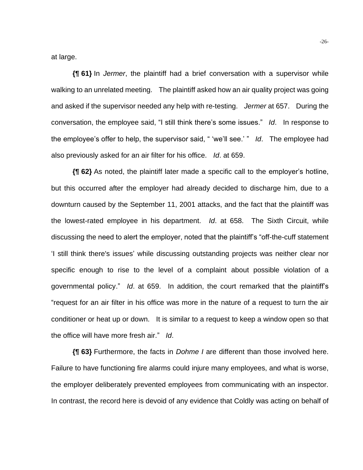at large.

**{¶ 61}** In *Jermer*, the plaintiff had a brief conversation with a supervisor while walking to an unrelated meeting. The plaintiff asked how an air quality project was going and asked if the supervisor needed any help with re-testing. *Jermer* at 657. During the conversation, the employee said, "I still think there's some issues." *Id*. In response to the employee's offer to help, the supervisor said, " 'we'll see.' " *Id*. The employee had also previously asked for an air filter for his office. *Id*. at 659.

**{¶ 62}** As noted, the plaintiff later made a specific call to the employer's hotline, but this occurred after the employer had already decided to discharge him, due to a downturn caused by the September 11, 2001 attacks, and the fact that the plaintiff was the lowest-rated employee in his department. *Id*. at 658. The Sixth Circuit, while discussing the need to alert the employer, noted that the plaintiff's "off-the-cuff statement 'I still think there's issues' while discussing outstanding projects was neither clear nor specific enough to rise to the level of a complaint about possible violation of a governmental policy." *Id*. at 659. In addition, the court remarked that the plaintiff's "request for an air filter in his office was more in the nature of a request to turn the air conditioner or heat up or down. It is similar to a request to keep a window open so that the office will have more fresh air." *Id*.

**{¶ 63}** Furthermore, the facts in *Dohme I* are different than those involved here. Failure to have functioning fire alarms could injure many employees, and what is worse, the employer deliberately prevented employees from communicating with an inspector. In contrast, the record here is devoid of any evidence that Coldly was acting on behalf of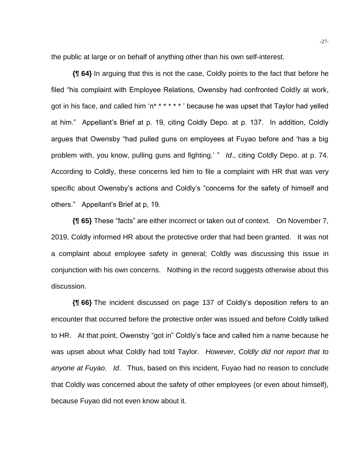the public at large or on behalf of anything other than his own self-interest.

**{¶ 64}** In arguing that this is not the case, Coldly points to the fact that before he filed "his complaint with Employee Relations, Owensby had confronted Coldly at work, got in his face, and called him 'n\* \* \* \* \* \* ' because he was upset that Taylor had yelled at him." Appellant's Brief at p. 19, citing Coldly Depo. at p. 137. In addition, Coldly argues that Owensby "had pulled guns on employees at Fuyao before and 'has a big problem with, you know, pulling guns and fighting.' " *Id*., citing Coldly Depo. at p. 74. According to Coldly, these concerns led him to file a complaint with HR that was very specific about Owensby's actions and Coldly's "concerns for the safety of himself and others." Appellant's Brief at p, 19.

**{¶ 65}** These "facts" are either incorrect or taken out of context. On November 7, 2019, Coldly informed HR about the protective order that had been granted. It was not a complaint about employee safety in general; Coldly was discussing this issue in conjunction with his own concerns. Nothing in the record suggests otherwise about this discussion.

**{¶ 66}** The incident discussed on page 137 of Coldly's deposition refers to an encounter that occurred before the protective order was issued and before Coldly talked to HR. At that point, Owensby "got in" Coldly's face and called him a name because he was upset about what Coldly had told Taylor. *However, Coldly did not report that to anyone at Fuyao*. *Id*. Thus, based on this incident, Fuyao had no reason to conclude that Coldly was concerned about the safety of other employees (or even about himself), because Fuyao did not even know about it.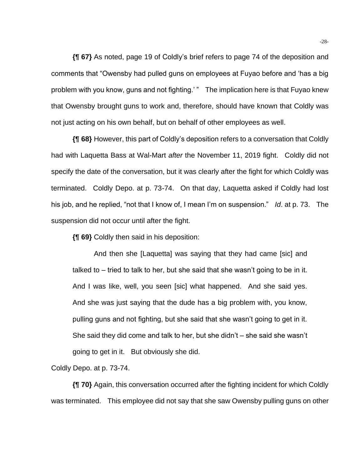**{¶ 67}** As noted, page 19 of Coldly's brief refers to page 74 of the deposition and comments that "Owensby had pulled guns on employees at Fuyao before and 'has a big problem with you know, guns and not fighting.' " The implication here is that Fuyao knew that Owensby brought guns to work and, therefore, should have known that Coldly was not just acting on his own behalf, but on behalf of other employees as well.

**{¶ 68}** However, this part of Coldly's deposition refers to a conversation that Coldly had with Laquetta Bass at Wal-Mart *after* the November 11, 2019 fight. Coldly did not specify the date of the conversation, but it was clearly after the fight for which Coldly was terminated. Coldly Depo. at p. 73-74. On that day, Laquetta asked if Coldly had lost his job, and he replied, "not that I know of, I mean I'm on suspension." *Id*. at p. 73. The suspension did not occur until after the fight.

**{¶ 69}** Coldly then said in his deposition:

And then she [Laquetta] was saying that they had came [sic] and talked to – tried to talk to her, but she said that she wasn't going to be in it. And I was like, well, you seen [sic] what happened. And she said yes. And she was just saying that the dude has a big problem with, you know, pulling guns and not fighting, but she said that she wasn't going to get in it. She said they did come and talk to her, but she didn't – she said she wasn't going to get in it. But obviously she did.

Coldly Depo. at p. 73-74.

**{¶ 70}** Again, this conversation occurred after the fighting incident for which Coldly was terminated. This employee did not say that she saw Owensby pulling guns on other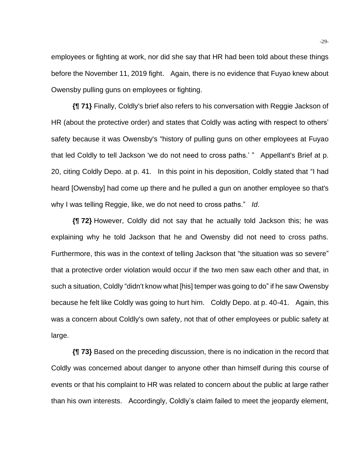employees or fighting at work, nor did she say that HR had been told about these things before the November 11, 2019 fight. Again, there is no evidence that Fuyao knew about Owensby pulling guns on employees or fighting.

**{¶ 71}** Finally, Coldly's brief also refers to his conversation with Reggie Jackson of HR (about the protective order) and states that Coldly was acting with respect to others' safety because it was Owensby's "history of pulling guns on other employees at Fuyao that led Coldly to tell Jackson 'we do not need to cross paths.' " Appellant's Brief at p. 20, citing Coldly Depo. at p. 41. In this point in his deposition, Coldly stated that "I had heard [Owensby] had come up there and he pulled a gun on another employee so that's why I was telling Reggie, like, we do not need to cross paths." *Id*.

**{¶ 72}** However, Coldly did not say that he actually told Jackson this; he was explaining why he told Jackson that he and Owensby did not need to cross paths. Furthermore, this was in the context of telling Jackson that "the situation was so severe" that a protective order violation would occur if the two men saw each other and that, in such a situation, Coldly "didn't know what [his] temper was going to do" if he saw Owensby because he felt like Coldly was going to hurt him. Coldly Depo. at p. 40-41. Again, this was a concern about Coldly's own safety, not that of other employees or public safety at large.

**{¶ 73}** Based on the preceding discussion, there is no indication in the record that Coldly was concerned about danger to anyone other than himself during this course of events or that his complaint to HR was related to concern about the public at large rather than his own interests. Accordingly, Coldly's claim failed to meet the jeopardy element,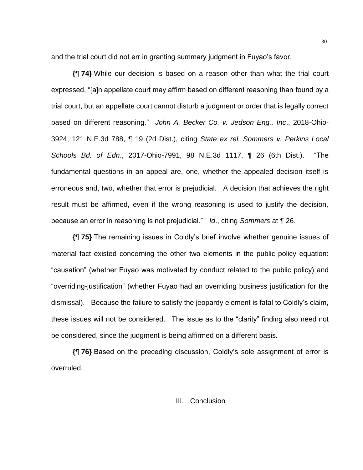and the trial court did not err in granting summary judgment in Fuyao's favor.

**{¶ 74}** While our decision is based on a reason other than what the trial court expressed, "[a]n appellate court may affirm based on different reasoning than found by a trial court, but an appellate court cannot disturb a judgment or order that is legally correct based on different reasoning." *John A. Becker Co. v. Jedson Eng., Inc*., 2018-Ohio-3924, 121 N.E.3d 788, ¶ 19 (2d Dist.), citing *State ex rel. Sommers v. Perkins Local Schools Bd. of Edn*., 2017-Ohio-7991, 98 N.E.3d 1117, ¶ 26 (6th Dist.). "The fundamental questions in an appeal are, one, whether the appealed decision itself is erroneous and, two, whether that error is prejudicial. A decision that achieves the right result must be affirmed, even if the wrong reasoning is used to justify the decision, because an error in reasoning is not prejudicial." *Id*., citing *Sommers* at ¶ 26.

**{¶ 75}** The remaining issues in Coldly's brief involve whether genuine issues of material fact existed concerning the other two elements in the public policy equation: "causation" (whether Fuyao was motivated by conduct related to the public policy) and "overriding-justification" (whether Fuyao had an overriding business justification for the dismissal). Because the failure to satisfy the jeopardy element is fatal to Coldly's claim, these issues will not be considered. The issue as to the "clarity" finding also need not be considered, since the judgment is being affirmed on a different basis.

**{¶ 76}** Based on the preceding discussion, Coldly's sole assignment of error is overruled.

#### III. Conclusion